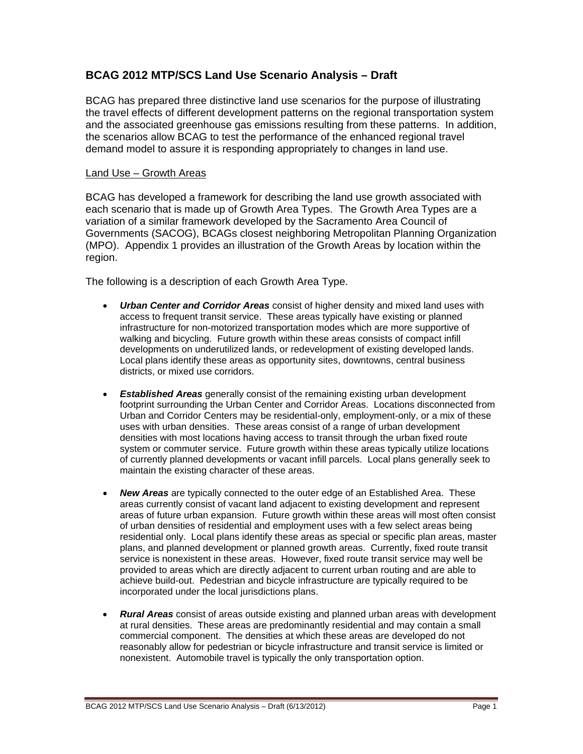# **BCAG 2012 MTP/SCS Land Use Scenario Analysis – Draft**

BCAG has prepared three distinctive land use scenarios for the purpose of illustrating the travel effects of different development patterns on the regional transportation system and the associated greenhouse gas emissions resulting from these patterns. In addition, the scenarios allow BCAG to test the performance of the enhanced regional travel demand model to assure it is responding appropriately to changes in land use.

#### Land Use – Growth Areas

BCAG has developed a framework for describing the land use growth associated with each scenario that is made up of Growth Area Types. The Growth Area Types are a variation of a similar framework developed by the Sacramento Area Council of Governments (SACOG), BCAGs closest neighboring Metropolitan Planning Organization (MPO). Appendix 1 provides an illustration of the Growth Areas by location within the region.

The following is a description of each Growth Area Type.

- *Urban Center and Corridor Areas* consist of higher density and mixed land uses with access to frequent transit service. These areas typically have existing or planned infrastructure for non-motorized transportation modes which are more supportive of walking and bicycling. Future growth within these areas consists of compact infill developments on underutilized lands, or redevelopment of existing developed lands. Local plans identify these areas as opportunity sites, downtowns, central business districts, or mixed use corridors.
- *Established Areas* generally consist of the remaining existing urban development footprint surrounding the Urban Center and Corridor Areas. Locations disconnected from Urban and Corridor Centers may be residential-only, employment-only, or a mix of these uses with urban densities. These areas consist of a range of urban development densities with most locations having access to transit through the urban fixed route system or commuter service. Future growth within these areas typically utilize locations of currently planned developments or vacant infill parcels. Local plans generally seek to maintain the existing character of these areas.
- *New Areas* are typically connected to the outer edge of an Established Area. These areas currently consist of vacant land adjacent to existing development and represent areas of future urban expansion. Future growth within these areas will most often consist of urban densities of residential and employment uses with a few select areas being residential only. Local plans identify these areas as special or specific plan areas, master plans, and planned development or planned growth areas. Currently, fixed route transit service is nonexistent in these areas. However, fixed route transit service may well be provided to areas which are directly adjacent to current urban routing and are able to achieve build-out. Pedestrian and bicycle infrastructure are typically required to be incorporated under the local jurisdictions plans.
- *Rural Areas* consist of areas outside existing and planned urban areas with development at rural densities. These areas are predominantly residential and may contain a small commercial component. The densities at which these areas are developed do not reasonably allow for pedestrian or bicycle infrastructure and transit service is limited or nonexistent. Automobile travel is typically the only transportation option.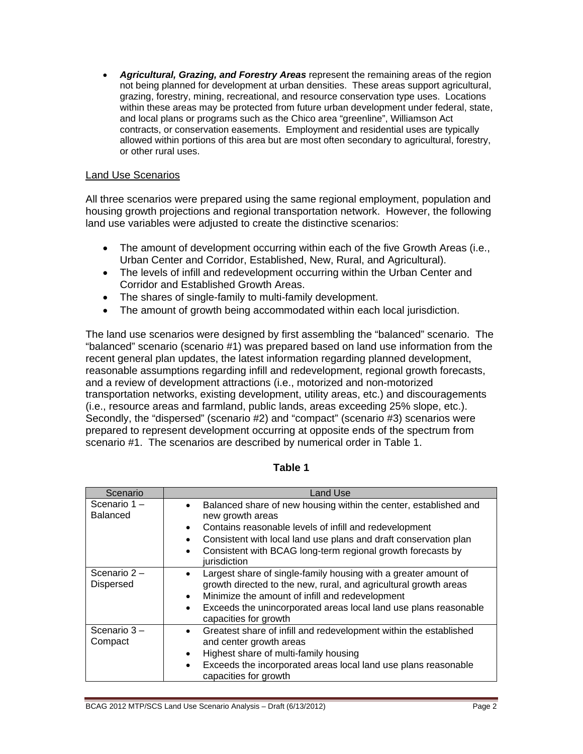• *Agricultural, Grazing, and Forestry Areas* represent the remaining areas of the region not being planned for development at urban densities. These areas support agricultural, grazing, forestry, mining, recreational, and resource conservation type uses. Locations within these areas may be protected from future urban development under federal, state, and local plans or programs such as the Chico area "greenline", Williamson Act contracts, or conservation easements. Employment and residential uses are typically allowed within portions of this area but are most often secondary to agricultural, forestry, or other rural uses.

### Land Use Scenarios

All three scenarios were prepared using the same regional employment, population and housing growth projections and regional transportation network. However, the following land use variables were adjusted to create the distinctive scenarios:

- The amount of development occurring within each of the five Growth Areas (i.e., Urban Center and Corridor, Established, New, Rural, and Agricultural).
- The levels of infill and redevelopment occurring within the Urban Center and Corridor and Established Growth Areas.
- The shares of single-family to multi-family development.
- The amount of growth being accommodated within each local jurisdiction.

The land use scenarios were designed by first assembling the "balanced" scenario. The "balanced" scenario (scenario #1) was prepared based on land use information from the recent general plan updates, the latest information regarding planned development, reasonable assumptions regarding infill and redevelopment, regional growth forecasts, and a review of development attractions (i.e., motorized and non-motorized transportation networks, existing development, utility areas, etc.) and discouragements (i.e., resource areas and farmland, public lands, areas exceeding 25% slope, etc.). Secondly, the "dispersed" (scenario #2) and "compact" (scenario #3) scenarios were prepared to represent development occurring at opposite ends of the spectrum from scenario #1. The scenarios are described by numerical order in Table 1.

| Scenario                       | <b>Land Use</b>                                                                                                                                                                                                                                                                                                                                       |  |  |
|--------------------------------|-------------------------------------------------------------------------------------------------------------------------------------------------------------------------------------------------------------------------------------------------------------------------------------------------------------------------------------------------------|--|--|
| Scenario 1-<br><b>Balanced</b> | Balanced share of new housing within the center, established and<br>$\bullet$<br>new growth areas<br>Contains reasonable levels of infill and redevelopment<br>$\bullet$<br>Consistent with local land use plans and draft conservation plan<br>$\bullet$<br>Consistent with BCAG long-term regional growth forecasts by<br>$\bullet$<br>jurisdiction |  |  |
| Scenario 2-<br>Dispersed       | Largest share of single-family housing with a greater amount of<br>growth directed to the new, rural, and agricultural growth areas<br>Minimize the amount of infill and redevelopment<br>$\bullet$<br>Exceeds the unincorporated areas local land use plans reasonable<br>$\bullet$<br>capacities for growth                                         |  |  |
| Scenario 3-<br>Compact         | Greatest share of infill and redevelopment within the established<br>$\bullet$<br>and center growth areas<br>Highest share of multi-family housing<br>$\bullet$<br>Exceeds the incorporated areas local land use plans reasonable<br>$\bullet$<br>capacities for growth                                                                               |  |  |

### **Table 1**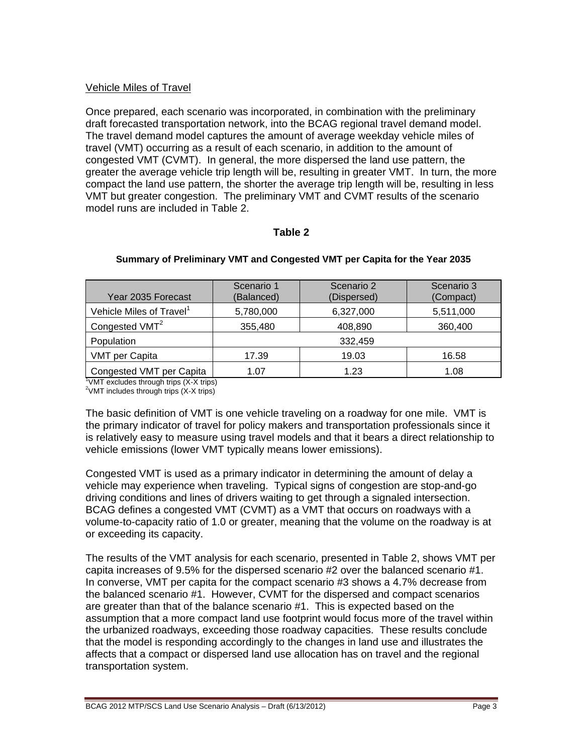# Vehicle Miles of Travel

Once prepared, each scenario was incorporated, in combination with the preliminary draft forecasted transportation network, into the BCAG regional travel demand model. The travel demand model captures the amount of average weekday vehicle miles of travel (VMT) occurring as a result of each scenario, in addition to the amount of congested VMT (CVMT). In general, the more dispersed the land use pattern, the greater the average vehicle trip length will be, resulting in greater VMT. In turn, the more compact the land use pattern, the shorter the average trip length will be, resulting in less VMT but greater congestion. The preliminary VMT and CVMT results of the scenario model runs are included in Table 2.

## **Table 2**

| Year 2035 Forecast                                                                           | Scenario 1<br>(Balanced) | Scenario 2<br>(Dispersed) | Scenario 3<br>(Compact) |
|----------------------------------------------------------------------------------------------|--------------------------|---------------------------|-------------------------|
| Vehicle Miles of Travel <sup>1</sup>                                                         | 5,780,000                | 6,327,000                 | 5,511,000               |
| Congested VMT <sup>2</sup>                                                                   | 355,480                  | 408,890                   | 360,400                 |
| Population                                                                                   |                          | 332,459                   |                         |
| <b>VMT per Capita</b>                                                                        | 17.39                    | 19.03                     | 16.58                   |
| Congested VMT per Capita<br>$\frac{1}{1}$ (AT ovaludes through trips $(V, V, \text{time})$ ) | 1.07                     | 1.23                      | 1.08                    |

#### **Summary of Preliminary VMT and Congested VMT per Capita for the Year 2035**

VMT excludes through trips (X-X trips)  $2$ VMT includes through trips  $(X-X$  trips)

The basic definition of VMT is one vehicle traveling on a roadway for one mile. VMT is the primary indicator of travel for policy makers and transportation professionals since it is relatively easy to measure using travel models and that it bears a direct relationship to vehicle emissions (lower VMT typically means lower emissions).

Congested VMT is used as a primary indicator in determining the amount of delay a vehicle may experience when traveling. Typical signs of congestion are stop-and-go driving conditions and lines of drivers waiting to get through a signaled intersection. BCAG defines a congested VMT (CVMT) as a VMT that occurs on roadways with a volume-to-capacity ratio of 1.0 or greater, meaning that the volume on the roadway is at or exceeding its capacity.

The results of the VMT analysis for each scenario, presented in Table 2, shows VMT per capita increases of 9.5% for the dispersed scenario #2 over the balanced scenario #1. In converse, VMT per capita for the compact scenario #3 shows a 4.7% decrease from the balanced scenario #1. However, CVMT for the dispersed and compact scenarios are greater than that of the balance scenario #1. This is expected based on the assumption that a more compact land use footprint would focus more of the travel within the urbanized roadways, exceeding those roadway capacities. These results conclude that the model is responding accordingly to the changes in land use and illustrates the affects that a compact or dispersed land use allocation has on travel and the regional transportation system.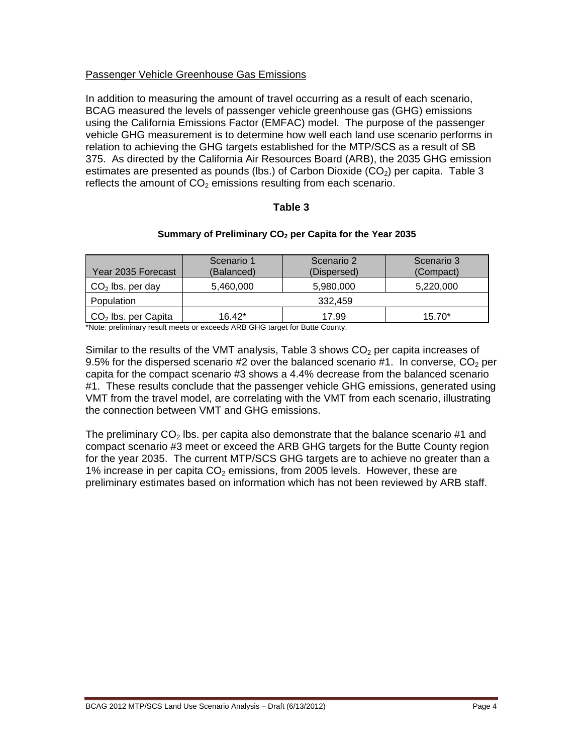# Passenger Vehicle Greenhouse Gas Emissions

In addition to measuring the amount of travel occurring as a result of each scenario, BCAG measured the levels of passenger vehicle greenhouse gas (GHG) emissions using the California Emissions Factor (EMFAC) model. The purpose of the passenger vehicle GHG measurement is to determine how well each land use scenario performs in relation to achieving the GHG targets established for the MTP/SCS as a result of SB 375. As directed by the California Air Resources Board (ARB), the 2035 GHG emission estimates are presented as pounds (lbs.) of Carbon Dioxide  $(CO<sub>2</sub>)$  per capita. Table 3 reflects the amount of  $CO<sub>2</sub>$  emissions resulting from each scenario.

## **Table 3**

## Summary of Preliminary CO<sub>2</sub> per Capita for the Year 2035

| Scenario 1<br>(Balanced) | Scenario 2<br>(Dispersed) | Scenario 3<br>(Compact) |  |
|--------------------------|---------------------------|-------------------------|--|
| 5,460,000                | 5,980,000                 | 5,220,000               |  |
| 332,459                  |                           |                         |  |
| $16.42*$                 | 17.99                     | $15.70*$                |  |
|                          |                           |                         |  |

\*Note: preliminary result meets or exceeds ARB GHG target for Butte County.

Similar to the results of the VMT analysis, Table 3 shows  $CO<sub>2</sub>$  per capita increases of 9.5% for the dispersed scenario #2 over the balanced scenario #1. In converse,  $CO<sub>2</sub>$  per capita for the compact scenario #3 shows a 4.4% decrease from the balanced scenario #1. These results conclude that the passenger vehicle GHG emissions, generated using VMT from the travel model, are correlating with the VMT from each scenario, illustrating the connection between VMT and GHG emissions.

The preliminary  $CO<sub>2</sub>$  lbs. per capita also demonstrate that the balance scenario #1 and compact scenario #3 meet or exceed the ARB GHG targets for the Butte County region for the year 2035. The current MTP/SCS GHG targets are to achieve no greater than a 1% increase in per capita  $CO<sub>2</sub>$  emissions, from 2005 levels. However, these are preliminary estimates based on information which has not been reviewed by ARB staff.